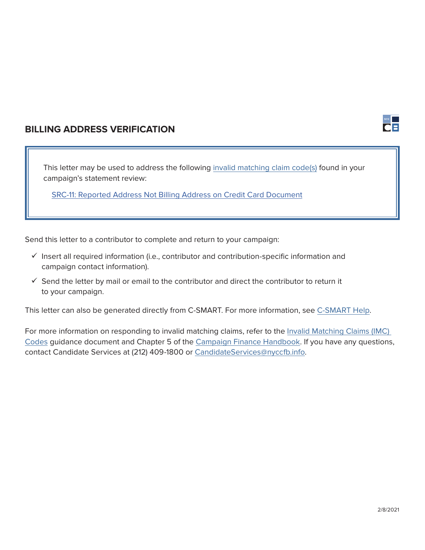

## **BILLING ADDRESS VERIFICATION**

This letter may be used to address the following i[nvalid matching claim code\(s\)](https://www.nyccfb.info/PDF/guidance/imc_codes.pdf) found in your campaign's statement review:

[SRC-11: Reported Address Not Billing Address on Credit Card Document](https://www.nyccfb.info/PDF/guidance/imc_codes.pdf#page=6)

Send this letter to a contributor to complete and return to your campaign:

- $\checkmark$  Insert all required information (i.e., contributor and contribution-specific information and campaign contact information).
- $\checkmark$  Send the letter by mail or email to the contributor and direct the contributor to return it to your campaign.

This letter can also be generated directly from C-SMART. For more information, see [C-SMART Help.](http://www.nyccfb.info/candidate-services/c-smart-help/)

For more information on responding to invalid matching claims, refer to the [Invalid Matching Claims \(IMC\)](https://www.nyccfb.info/PDF/guidance/imc_codes.pdf)  [Codes](https://www.nyccfb.info/PDF/guidance/imc_codes.pdf) guidance document and Chapter 5 of the [Campaign Finance Handbook](https://www.nyccfb.info/candidate-services/handbook/). If you have any questions, contact Candidate Services at (212) 409-1800 or [CandidateServices@nyccfb.info](mailto:CandidateServices%40nyccfb.info?subject=).